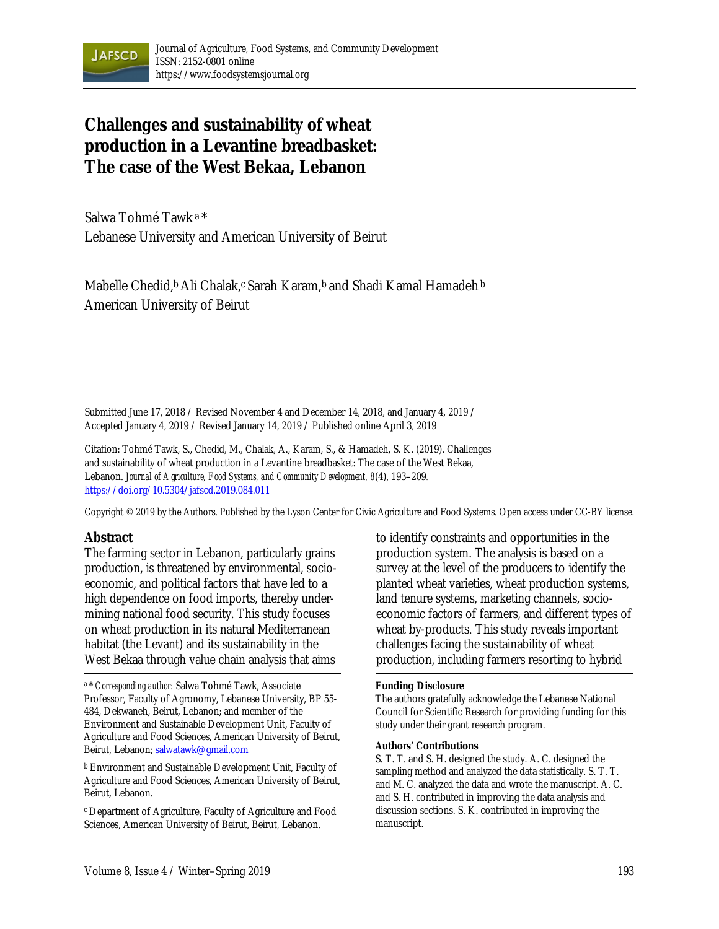

# **Challenges and sustainability of wheat production in a Levantine breadbasket: The case of the West Bekaa, Lebanon**

Salwa Tohmé Tawk a \* Lebanese University and American University of Beirut

Mabelle Chedid,<sup>b</sup> Ali Chalak,<sup>c</sup> Sarah Karam,<sup>b</sup> and Shadi Kamal Hamadeh <sup>b</sup> American University of Beirut

Submitted June 17, 2018 / Revised November 4 and December 14, 2018, and January 4, 2019 / Accepted January 4, 2019 / Revised January 14, 2019 / Published online April 3, 2019

Citation: Tohmé Tawk, S., Chedid, M., Chalak, A., Karam, S., & Hamadeh, S. K. (2019). Challenges and sustainability of wheat production in a Levantine breadbasket: The case of the West Bekaa, Lebanon. *Journal of Agriculture, Food Systems, and Community Development, 8*(4), 193–209*.* https://doi.org/10.5304/jafscd.2019.084.011

Copyright © 2019 by the Authors. Published by the Lyson Center for Civic Agriculture and Food Systems. Open access under CC-BY license.

#### **Abstract**

The farming sector in Lebanon, particularly grains production, is threatened by environmental, socioeconomic, and political factors that have led to a high dependence on food imports, thereby undermining national food security. This study focuses on wheat production in its natural Mediterranean habitat (the Levant) and its sustainability in the West Bekaa through value chain analysis that aims

b Environment and Sustainable Development Unit, Faculty of Agriculture and Food Sciences, American University of Beirut, Beirut, Lebanon.

c Department of Agriculture, Faculty of Agriculture and Food Sciences, American University of Beirut, Beirut, Lebanon.

to identify constraints and opportunities in the production system. The analysis is based on a survey at the level of the producers to identify the planted wheat varieties, wheat production systems, land tenure systems, marketing channels, socioeconomic factors of farmers, and different types of wheat by-products. This study reveals important challenges facing the sustainability of wheat production, including farmers resorting to hybrid

#### **Funding Disclosure**

The authors gratefully acknowledge the Lebanese National Council for Scientific Research for providing funding for this study under their grant research program.

#### **Authors' Contributions**

S. T. T. and S. H. designed the study. A. C. designed the sampling method and analyzed the data statistically. S. T. T. and M. C. analyzed the data and wrote the manuscript. A. C. and S. H. contributed in improving the data analysis and discussion sections. S. K. contributed in improving the manuscript.

a \* *Corresponding author:* Salwa Tohmé Tawk, Associate Professor, Faculty of Agronomy, Lebanese University, BP 55- 484, Dekwaneh, Beirut, Lebanon; and member of the Environment and Sustainable Development Unit, Faculty of Agriculture and Food Sciences, American University of Beirut, Beirut, Lebanon; salwatawk@gmail.com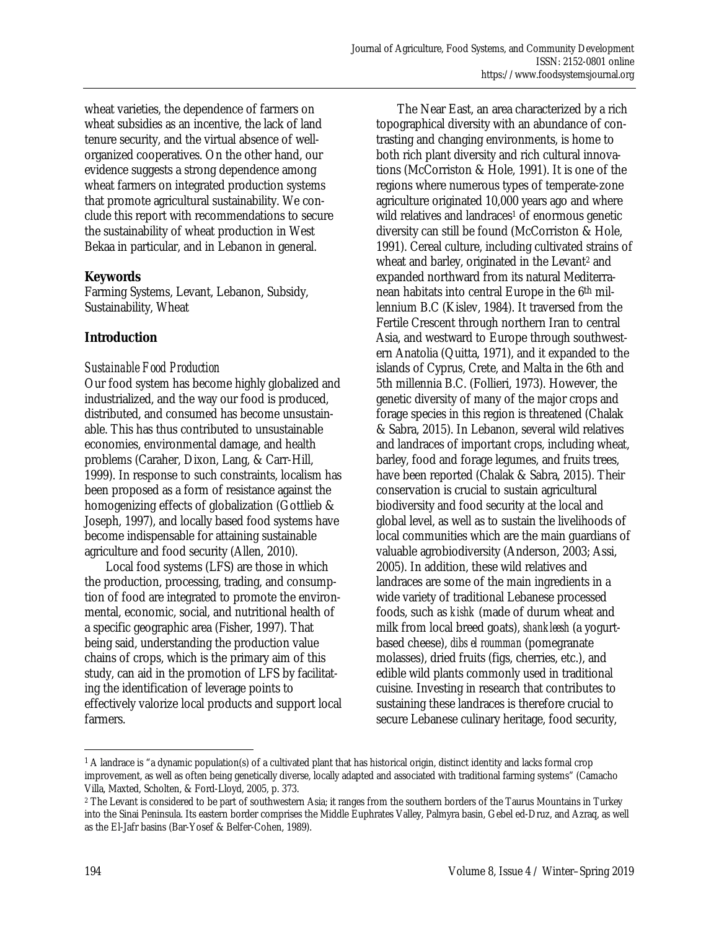wheat varieties, the dependence of farmers on wheat subsidies as an incentive, the lack of land tenure security, and the virtual absence of wellorganized cooperatives. On the other hand, our evidence suggests a strong dependence among wheat farmers on integrated production systems that promote agricultural sustainability. We conclude this report with recommendations to secure the sustainability of wheat production in West Bekaa in particular, and in Lebanon in general.

### **Keywords**

Farming Systems, Levant, Lebanon, Subsidy, Sustainability, Wheat

### **Introduction**

### *Sustainable Food Production*

Our food system has become highly globalized and industrialized, and the way our food is produced, distributed, and consumed has become unsustainable. This has thus contributed to unsustainable economies, environmental damage, and health problems (Caraher, Dixon, Lang, & Carr-Hill, 1999). In response to such constraints, localism has been proposed as a form of resistance against the homogenizing effects of globalization (Gottlieb & Joseph, 1997), and locally based food systems have become indispensable for attaining sustainable agriculture and food security (Allen, 2010).

 Local food systems (LFS) are those in which the production, processing, trading, and consumption of food are integrated to promote the environmental, economic, social, and nutritional health of a specific geographic area (Fisher, 1997). That being said, understanding the production value chains of crops, which is the primary aim of this study, can aid in the promotion of LFS by facilitating the identification of leverage points to effectively valorize local products and support local farmers.

 The Near East, an area characterized by a rich topographical diversity with an abundance of contrasting and changing environments, is home to both rich plant diversity and rich cultural innovations (McCorriston & Hole, 1991). It is one of the regions where numerous types of temperate-zone agriculture originated 10,000 years ago and where wild relatives and landraces<sup>1</sup> of enormous genetic diversity can still be found (McCorriston & Hole, 1991). Cereal culture, including cultivated strains of wheat and barley, originated in the Levant<sup>2</sup> and expanded northward from its natural Mediterranean habitats into central Europe in the 6th millennium B.C (Kislev, 1984). It traversed from the Fertile Crescent through northern Iran to central Asia, and westward to Europe through southwestern Anatolia (Quitta, 1971), and it expanded to the islands of Cyprus, Crete, and Malta in the 6th and 5th millennia B.C. (Follieri, 1973). However, the genetic diversity of many of the major crops and forage species in this region is threatened (Chalak & Sabra, 2015). In Lebanon, several wild relatives and landraces of important crops, including wheat, barley, food and forage legumes, and fruits trees, have been reported (Chalak & Sabra, 2015). Their conservation is crucial to sustain agricultural biodiversity and food security at the local and global level, as well as to sustain the livelihoods of local communities which are the main guardians of valuable agrobiodiversity (Anderson, 2003; Assi, 2005). In addition, these wild relatives and landraces are some of the main ingredients in a wide variety of traditional Lebanese processed foods, such as *kishk* (made of durum wheat and milk from local breed goats), *shankleesh* (a yogurtbased cheese), *dibs el roumman* (pomegranate molasses), dried fruits (figs, cherries, etc.), and edible wild plants commonly used in traditional cuisine. Investing in research that contributes to sustaining these landraces is therefore crucial to secure Lebanese culinary heritage, food security,

 $\overline{a}$  $1$  A landrace is "a dynamic population(s) of a cultivated plant that has historical origin, distinct identity and lacks formal crop improvement, as well as often being genetically diverse, locally adapted and associated with traditional farming systems" (Camacho Villa, Maxted, Scholten, & Ford-Lloyd, 2005, p. 373.

<sup>&</sup>lt;sup>2</sup> The Levant is considered to be part of southwestern Asia; it ranges from the southern borders of the Taurus Mountains in Turkey into the Sinai Peninsula. Its eastern border comprises the Middle Euphrates Valley, Palmyra basin, Gebel ed-Druz, and Azraq, as well as the El-Jafr basins (Bar-Yosef & Belfer-Cohen, 1989).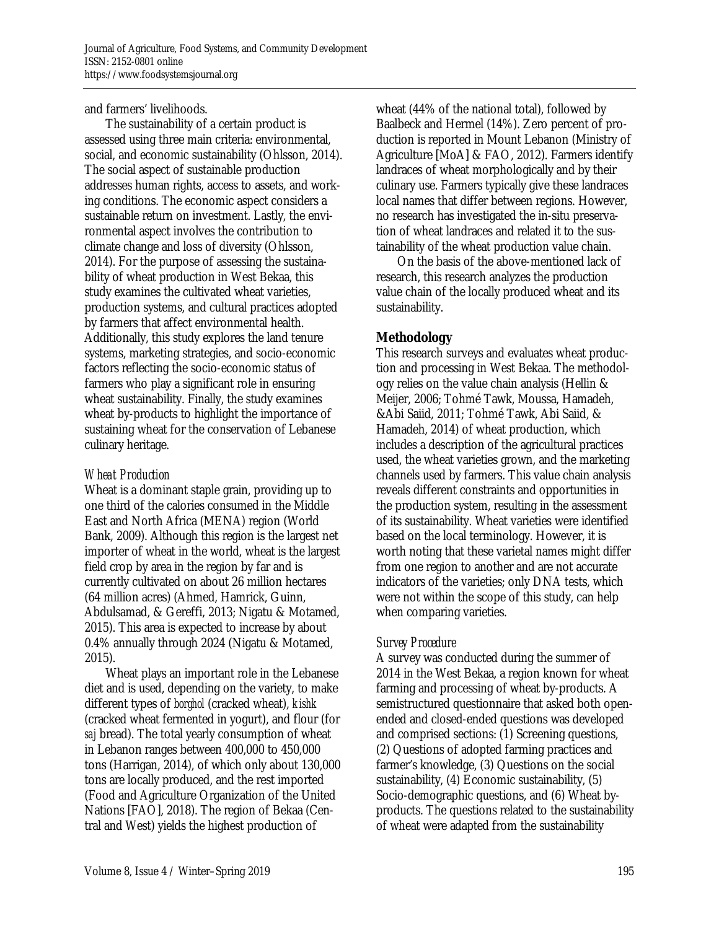and farmers' livelihoods.

 The sustainability of a certain product is assessed using three main criteria: environmental, social, and economic sustainability (Ohlsson, 2014). The social aspect of sustainable production addresses human rights, access to assets, and working conditions. The economic aspect considers a sustainable return on investment. Lastly, the environmental aspect involves the contribution to climate change and loss of diversity (Ohlsson, 2014). For the purpose of assessing the sustainability of wheat production in West Bekaa, this study examines the cultivated wheat varieties, production systems, and cultural practices adopted by farmers that affect environmental health. Additionally, this study explores the land tenure systems, marketing strategies, and socio-economic factors reflecting the socio-economic status of farmers who play a significant role in ensuring wheat sustainability. Finally, the study examines wheat by-products to highlight the importance of sustaining wheat for the conservation of Lebanese culinary heritage.

### *Wheat Production*

Wheat is a dominant staple grain, providing up to one third of the calories consumed in the Middle East and North Africa (MENA) region (World Bank, 2009). Although this region is the largest net importer of wheat in the world, wheat is the largest field crop by area in the region by far and is currently cultivated on about 26 million hectares (64 million acres) (Ahmed, Hamrick, Guinn, Abdulsamad, & Gereffi, 2013; Nigatu & Motamed, 2015). This area is expected to increase by about 0.4% annually through 2024 (Nigatu & Motamed, 2015).

 Wheat plays an important role in the Lebanese diet and is used, depending on the variety, to make different types of *borghol* (cracked wheat), *kishk* (cracked wheat fermented in yogurt), and flour (for *saj* bread). The total yearly consumption of wheat in Lebanon ranges between 400,000 to 450,000 tons (Harrigan, 2014), of which only about 130,000 tons are locally produced, and the rest imported (Food and Agriculture Organization of the United Nations [FAO], 2018). The region of Bekaa (Central and West) yields the highest production of

wheat (44% of the national total), followed by Baalbeck and Hermel (14%). Zero percent of production is reported in Mount Lebanon (Ministry of Agriculture [MoA] & FAO, 2012). Farmers identify landraces of wheat morphologically and by their culinary use. Farmers typically give these landraces local names that differ between regions. However, no research has investigated the in-situ preservation of wheat landraces and related it to the sustainability of the wheat production value chain.

 On the basis of the above-mentioned lack of research, this research analyzes the production value chain of the locally produced wheat and its sustainability.

### **Methodology**

This research surveys and evaluates wheat production and processing in West Bekaa. The methodology relies on the value chain analysis (Hellin & Meijer, 2006; Tohmé Tawk, Moussa, Hamadeh, &Abi Saiid, 2011; Tohmé Tawk, Abi Saiid, & Hamadeh, 2014) of wheat production, which includes a description of the agricultural practices used, the wheat varieties grown, and the marketing channels used by farmers. This value chain analysis reveals different constraints and opportunities in the production system, resulting in the assessment of its sustainability. Wheat varieties were identified based on the local terminology. However, it is worth noting that these varietal names might differ from one region to another and are not accurate indicators of the varieties; only DNA tests, which were not within the scope of this study, can help when comparing varieties.

### *Survey Procedure*

A survey was conducted during the summer of 2014 in the West Bekaa, a region known for wheat farming and processing of wheat by-products. A semistructured questionnaire that asked both openended and closed-ended questions was developed and comprised sections: (1) Screening questions, (2) Questions of adopted farming practices and farmer's knowledge, (3) Questions on the social sustainability, (4) Economic sustainability, (5) Socio-demographic questions, and (6) Wheat byproducts. The questions related to the sustainability of wheat were adapted from the sustainability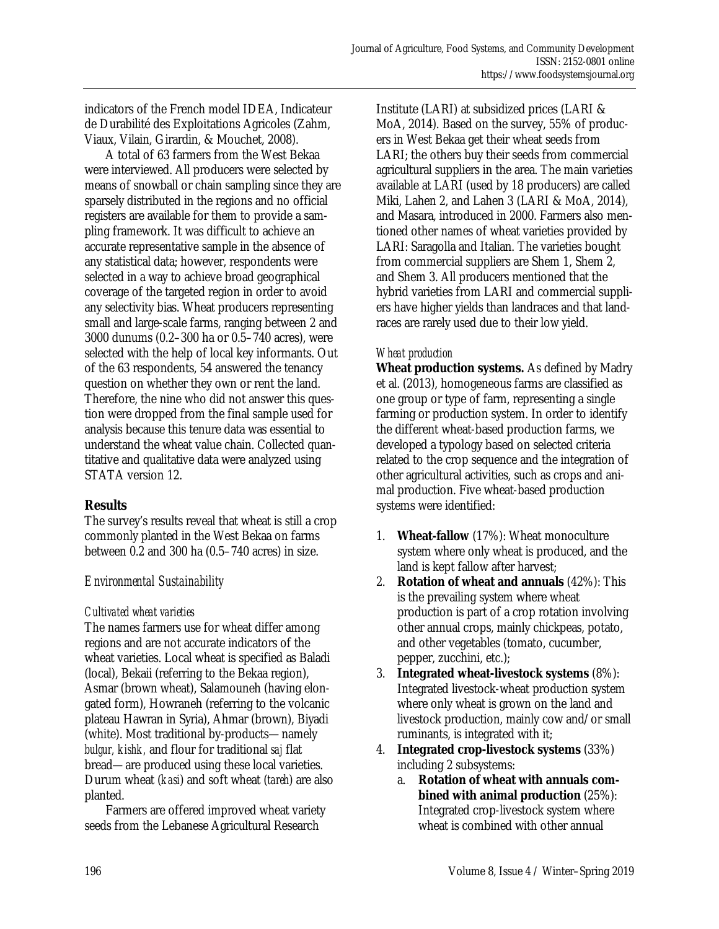indicators of the French model IDEA, Indicateur de Durabilité des Exploitations Agricoles (Zahm, Viaux, Vilain, Girardin, & Mouchet, 2008).

 A total of 63 farmers from the West Bekaa were interviewed. All producers were selected by means of snowball or chain sampling since they are sparsely distributed in the regions and no official registers are available for them to provide a sampling framework. It was difficult to achieve an accurate representative sample in the absence of any statistical data; however, respondents were selected in a way to achieve broad geographical coverage of the targeted region in order to avoid any selectivity bias. Wheat producers representing small and large-scale farms, ranging between 2 and 3000 dunums (0.2–300 ha or 0.5–740 acres), were selected with the help of local key informants. Out of the 63 respondents, 54 answered the tenancy question on whether they own or rent the land. Therefore, the nine who did not answer this question were dropped from the final sample used for analysis because this tenure data was essential to understand the wheat value chain. Collected quantitative and qualitative data were analyzed using STATA version 12.

### **Results**

The survey's results reveal that wheat is still a crop commonly planted in the West Bekaa on farms between 0.2 and 300 ha (0.5–740 acres) in size.

## *Environmental Sustainability*

### *Cultivated wheat varieties*

The names farmers use for wheat differ among regions and are not accurate indicators of the wheat varieties. Local wheat is specified as Baladi (local), Bekaii (referring to the Bekaa region), Asmar (brown wheat), Salamouneh (having elongated form), Howraneh (referring to the volcanic plateau Hawran in Syria), Ahmar (brown), Biyadi (white). Most traditional by-products—namely *bulgur, kishk,* and flour for traditional *saj* flat bread—are produced using these local varieties. Durum wheat (*kasi*) and soft wheat (*tareh*) are also planted.

 Farmers are offered improved wheat variety seeds from the Lebanese Agricultural Research

Institute (LARI) at subsidized prices (LARI & MoA, 2014). Based on the survey, 55% of producers in West Bekaa get their wheat seeds from LARI; the others buy their seeds from commercial agricultural suppliers in the area. The main varieties available at LARI (used by 18 producers) are called Miki, Lahen 2, and Lahen 3 (LARI & MoA, 2014), and Masara, introduced in 2000. Farmers also mentioned other names of wheat varieties provided by LARI: Saragolla and Italian. The varieties bought from commercial suppliers are Shem 1, Shem 2, and Shem 3. All producers mentioned that the hybrid varieties from LARI and commercial suppliers have higher yields than landraces and that landraces are rarely used due to their low yield.

### *Wheat production*

**Wheat production systems.** As defined by Madry et al. (2013), homogeneous farms are classified as one group or type of farm, representing a single farming or production system. In order to identify the different wheat-based production farms, we developed a typology based on selected criteria related to the crop sequence and the integration of other agricultural activities, such as crops and animal production. Five wheat-based production systems were identified:

- 1. **Wheat-fallow** (17%): Wheat monoculture system where only wheat is produced, and the land is kept fallow after harvest;
- 2. **Rotation of wheat and annuals** (42%): This is the prevailing system where wheat production is part of a crop rotation involving other annual crops, mainly chickpeas, potato, and other vegetables (tomato, cucumber, pepper, zucchini, etc.);
- 3. **Integrated wheat-livestock systems** (8%): Integrated livestock-wheat production system where only wheat is grown on the land and livestock production, mainly cow and/or small ruminants, is integrated with it;
- 4. **Integrated crop-livestock systems** (33%) including 2 subsystems:
	- a. **Rotation of wheat with annuals combined with animal production** (25%): Integrated crop-livestock system where wheat is combined with other annual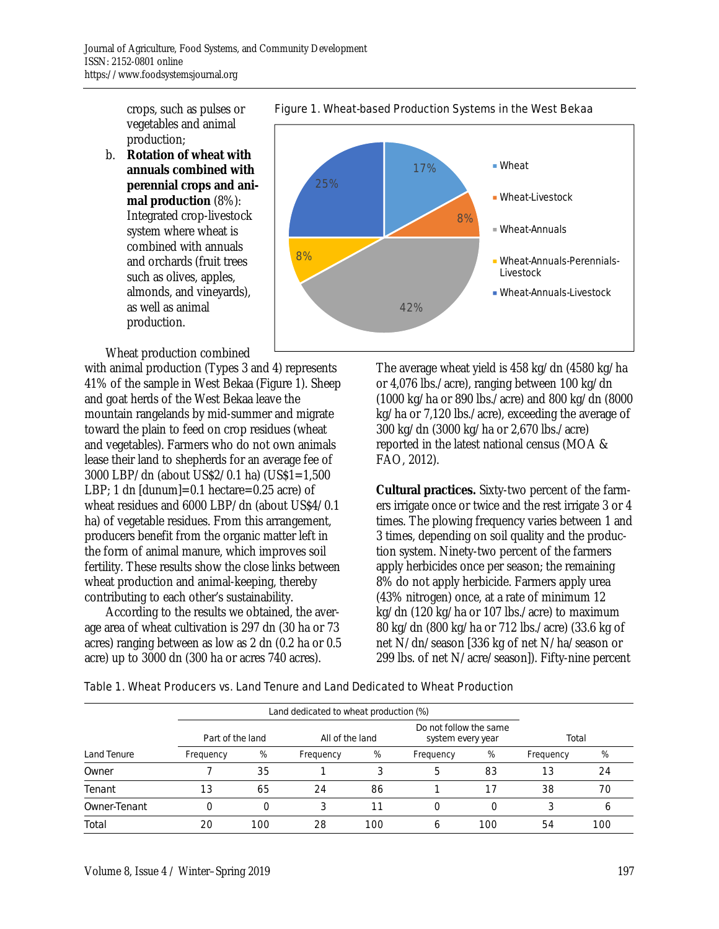crops, such as pulses or vegetables and animal production;

b. **Rotation of wheat with annuals combined with perennial crops and animal production** (8%): Integrated crop-livestock system where wheat is combined with annuals and orchards (fruit trees such as olives, apples, almonds, and vineyards), as well as animal production.

Wheat production combined

with animal production (Types 3 and 4) represents 41% of the sample in West Bekaa (Figure 1). Sheep and goat herds of the West Bekaa leave the mountain rangelands by mid-summer and migrate toward the plain to feed on crop residues (wheat and vegetables). Farmers who do not own animals lease their land to shepherds for an average fee of 3000 LBP/dn (about US\$2/0.1 ha) (US\$1=1,500 LBP; 1 dn [dunum]=0.1 hectare=0.25 acre) of wheat residues and 6000 LBP/dn (about US\$4/0.1 ha) of vegetable residues. From this arrangement, producers benefit from the organic matter left in the form of animal manure, which improves soil fertility. These results show the close links between wheat production and animal-keeping, thereby contributing to each other's sustainability.

 According to the results we obtained, the average area of wheat cultivation is 297 dn (30 ha or 73 acres) ranging between as low as 2 dn (0.2 ha or 0.5 acre) up to 3000 dn (300 ha or acres 740 acres).



Figure 1. Wheat-based Production Systems in the West Bekaa

The average wheat yield is 458 kg/dn (4580 kg/ha or 4,076 lbs./acre), ranging between 100 kg/dn (1000 kg/ha or 890 lbs./acre) and 800 kg/dn (8000 kg/ha or 7,120 lbs./acre), exceeding the average of 300 kg/dn (3000 kg/ha or 2,670 lbs./acre) reported in the latest national census (MOA & FAO, 2012).

**Cultural practices.** Sixty-two percent of the farmers irrigate once or twice and the rest irrigate 3 or 4 times. The plowing frequency varies between 1 and 3 times, depending on soil quality and the production system. Ninety-two percent of the farmers apply herbicides once per season; the remaining 8% do not apply herbicide. Farmers apply urea (43% nitrogen) once, at a rate of minimum 12 kg/dn (120 kg/ha or 107 lbs./acre) to maximum 80 kg/dn (800 kg/ha or 712 lbs./acre) (33.6 kg of net N/dn/season [336 kg of net N/ha/season or 299 lbs. of net N/acre/season]). Fifty-nine percent

|  |  | Table 1. Wheat Producers vs. Land Tenure and Land Dedicated to Wheat Production |
|--|--|---------------------------------------------------------------------------------|
|--|--|---------------------------------------------------------------------------------|

|              | Part of the land |     | All of the land |     | Do not follow the same<br>system every year |     | Total     |     |
|--------------|------------------|-----|-----------------|-----|---------------------------------------------|-----|-----------|-----|
| Land Tenure  | Frequency        | %   | Frequency       | %   | Frequency                                   | %   | Frequency | %   |
| Owner        |                  | 35  |                 | З   | 5                                           | 83  | 13        | 24  |
| Tenant       | 13               | 65  | 24              | 86  |                                             | 17  | 38        | 70  |
| Owner-Tenant |                  |     | 3               |     | Ο                                           |     |           |     |
| Total        | 20               | 100 | 28              | 100 | 6                                           | 100 | 54        | 100 |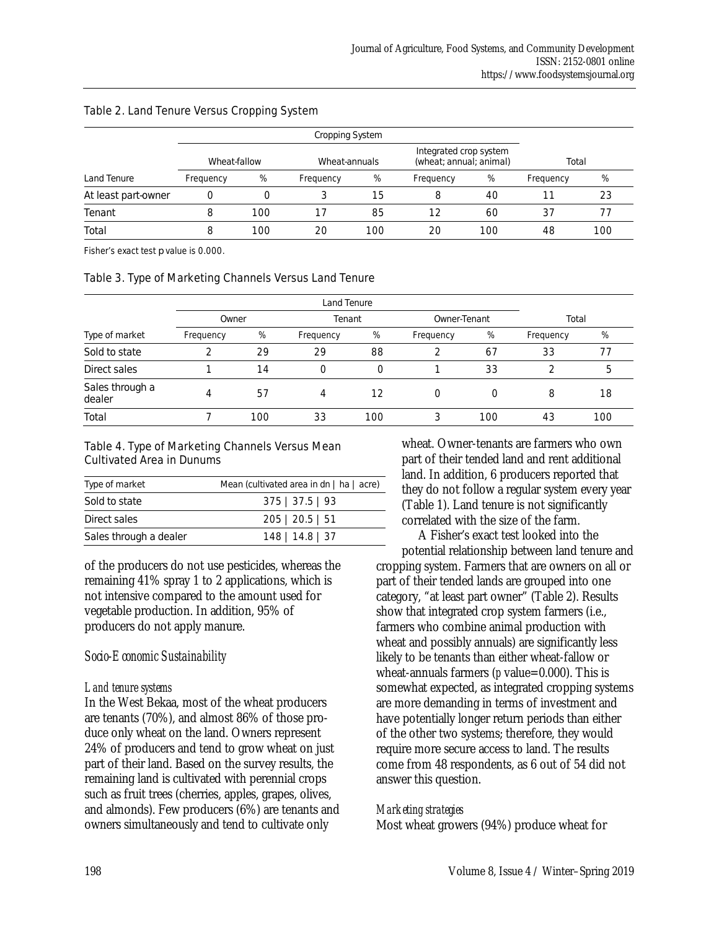|                     |              |       | Cropping System |     |           |     |           |     |
|---------------------|--------------|-------|-----------------|-----|-----------|-----|-----------|-----|
|                     | Wheat-fallow | Total |                 |     |           |     |           |     |
| Land Tenure         | Frequency    | %     | Frequency       | %   | Frequency | %   | Frequency | %   |
| At least part-owner |              |       | 3               | 15  | 8         | 40  |           | 23  |
| Tenant              |              | 100   | 17              | 85  | 12        | 60  | 37        |     |
| Total               | 8            | 100   | 20              | 100 | 20        | 100 | 48        | 100 |

#### Table 2. Land Tenure Versus Cropping System

Fisher's exact test *p* value is 0.000.

#### Table 3. Type of Marketing Channels Versus Land Tenure

|                           |           | Land Tenure |           |     |              |     |           |     |
|---------------------------|-----------|-------------|-----------|-----|--------------|-----|-----------|-----|
|                           | Owner     |             | Tenant    |     | Owner-Tenant |     | Total     |     |
| Type of market            | Frequency | %           | Frequency | %   | Frequency    | %   | Frequency | %   |
| Sold to state             |           | 29          | 29        | 88  | 2            | 67  | 33        |     |
| Direct sales              |           | 14          | 0         | 0   |              | 33  |           |     |
| Sales through a<br>dealer |           | 57          | 4         | 12  | 0            | 0   | 8         | 18  |
| Total                     |           | 100         | 33        | 100 | 3            | 100 | 43        | 100 |

#### Table 4. Type of Marketing Channels Versus Mean Cultivated Area in Dunums

| Type of market         | Mean (cultivated area in dn   ha   acre) |
|------------------------|------------------------------------------|
| Sold to state          | $375 \mid 37.5 \mid 93$                  |
| Direct sales           | $205 \mid 20.5 \mid 51$                  |
| Sales through a dealer | $148$   14.8   37                        |

of the producers do not use pesticides, whereas the remaining 41% spray 1 to 2 applications, which is not intensive compared to the amount used for vegetable production. In addition, 95% of producers do not apply manure.

### *Socio-Economic Sustainability*

#### *Land tenure systems*

In the West Bekaa, most of the wheat producers are tenants (70%), and almost 86% of those produce only wheat on the land. Owners represent 24% of producers and tend to grow wheat on just part of their land. Based on the survey results, the remaining land is cultivated with perennial crops such as fruit trees (cherries, apples, grapes, olives, and almonds). Few producers (6%) are tenants and owners simultaneously and tend to cultivate only

wheat. Owner-tenants are farmers who own part of their tended land and rent additional land. In addition, 6 producers reported that they do not follow a regular system every year (Table 1). Land tenure is not significantly correlated with the size of the farm.

 A Fisher's exact test looked into the potential relationship between land tenure and cropping system. Farmers that are owners on all or part of their tended lands are grouped into one category, "at least part owner" (Table 2). Results show that integrated crop system farmers (i.e., farmers who combine animal production with wheat and possibly annuals) are significantly less likely to be tenants than either wheat-fallow or wheat-annuals farmers (*p* value=0.000). This is somewhat expected, as integrated cropping systems are more demanding in terms of investment and have potentially longer return periods than either of the other two systems; therefore, they would require more secure access to land. The results come from 48 respondents, as 6 out of 54 did not answer this question.

### *Marketing strategies*

Most wheat growers (94%) produce wheat for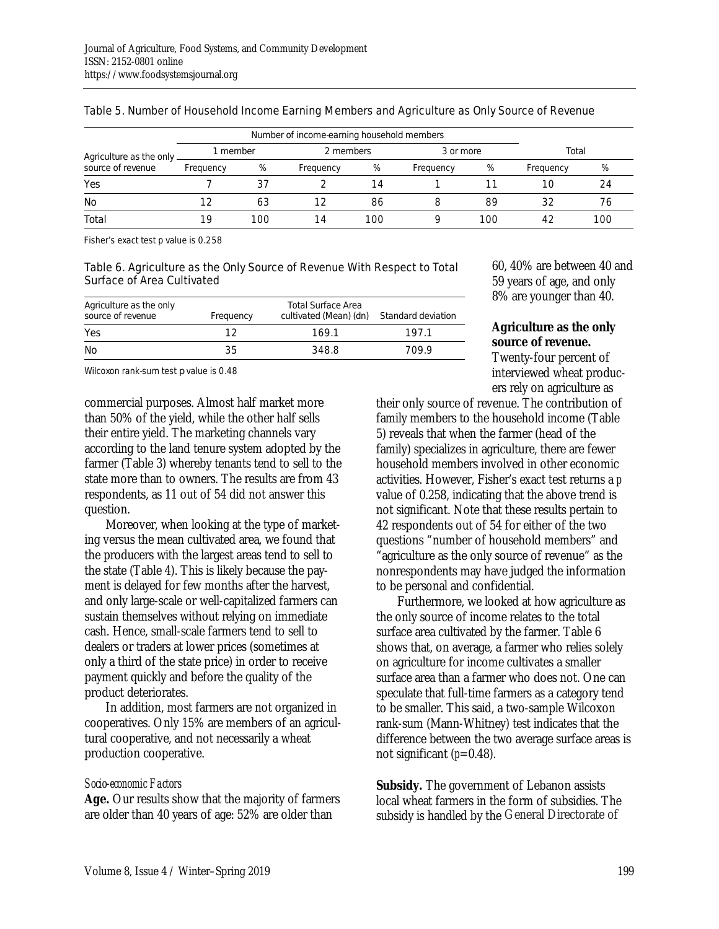| Agriculture as the only | I member  |     | 2 members |     | 3 or more |     | Total     |     |
|-------------------------|-----------|-----|-----------|-----|-----------|-----|-----------|-----|
| source of revenue       | Frequency | %   | Frequency | %   | Frequency | %   | Frequency | %   |
| Yes                     |           | 37  |           | 14  |           |     | 10        | 24  |
| No                      | 12        | 63  | 12        | 86  |           | 89  | 32        | 76  |
| Total                   | 19        | 100 | 14        | 100 |           | 100 |           | 100 |

#### Table 5. Number of Household Income Earning Members and Agriculture as Only Source of Revenue

Fisher's exact test p value is 0.258

#### Table 6. Agriculture as the Only Source of Revenue With Respect to Total Surface of Area Cultivated

| Agriculture as the only<br>source of revenue | Frequency | Total Surface Area<br>cultivated (Mean) (dn) | Standard deviation |
|----------------------------------------------|-----------|----------------------------------------------|--------------------|
| Yes                                          | 1 2       | 169.1                                        | 1971               |
| No.                                          | 35        | 348.8                                        | 709.9              |

Wilcoxon rank-sum test *p* value is 0.48

commercial purposes. Almost half market more than 50% of the yield, while the other half sells their entire yield. The marketing channels vary according to the land tenure system adopted by the farmer (Table 3) whereby tenants tend to sell to the state more than to owners. The results are from 43 respondents, as 11 out of 54 did not answer this question.

 Moreover, when looking at the type of marketing versus the mean cultivated area, we found that the producers with the largest areas tend to sell to the state (Table 4). This is likely because the payment is delayed for few months after the harvest, and only large-scale or well-capitalized farmers can sustain themselves without relying on immediate cash. Hence, small-scale farmers tend to sell to dealers or traders at lower prices (sometimes at only a third of the state price) in order to receive payment quickly and before the quality of the product deteriorates.

 In addition, most farmers are not organized in cooperatives. Only 15% are members of an agricultural cooperative, and not necessarily a wheat production cooperative.

#### *Socio-economic Factors*

**Age.** Our results show that the majority of farmers are older than 40 years of age: 52% are older than

60, 40% are between 40 and 59 years of age, and only 8% are younger than 40.

### **Agriculture as the only source of revenue.**

Twenty-four percent of interviewed wheat producers rely on agriculture as

their only source of revenue. The contribution of family members to the household income (Table 5) reveals that when the farmer (head of the family) specializes in agriculture, there are fewer household members involved in other economic activities. However, Fisher's exact test returns a *p* value of 0.258, indicating that the above trend is not significant. Note that these results pertain to 42 respondents out of 54 for either of the two questions "number of household members" and "agriculture as the only source of revenue" as the nonrespondents may have judged the information to be personal and confidential.

 Furthermore, we looked at how agriculture as the only source of income relates to the total surface area cultivated by the farmer. Table 6 shows that, on average, a farmer who relies solely on agriculture for income cultivates a smaller surface area than a farmer who does not. One can speculate that full-time farmers as a category tend to be smaller. This said, a two-sample Wilcoxon rank-sum (Mann-Whitney) test indicates that the difference between the two average surface areas is not significant  $(p=0.48)$ .

**Subsidy.** The government of Lebanon assists local wheat farmers in the form of subsidies. The subsidy is handled by the General Directorate of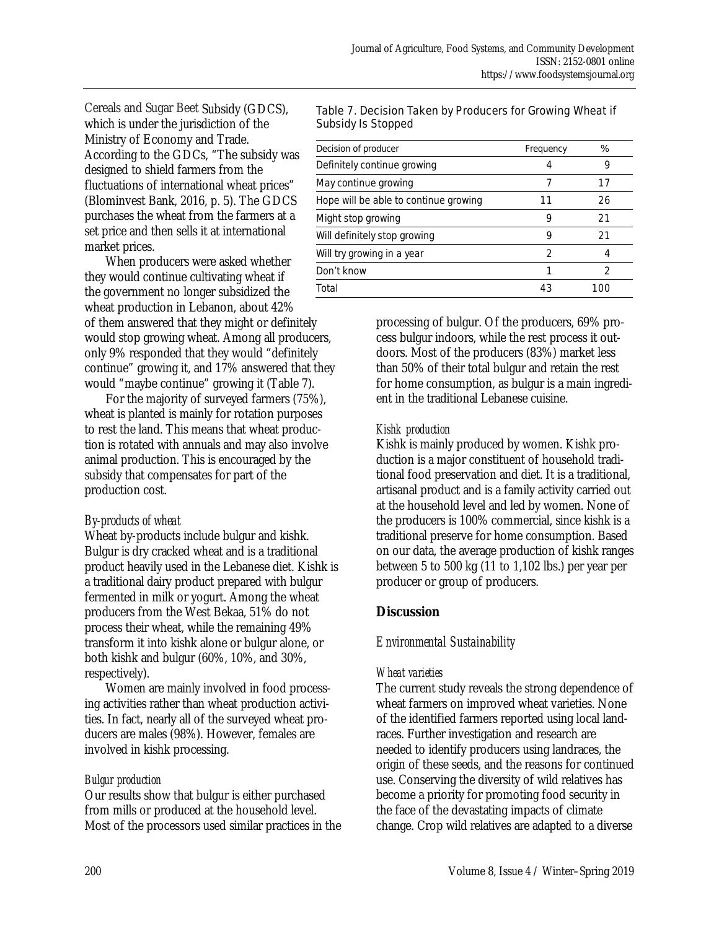Cereals and Sugar Beet Subsidy (GDCS), which is under the jurisdiction of the Ministry of Economy and Trade. According to the GDCs, "The subsidy was designed to shield farmers from the fluctuations of international wheat prices" (Blominvest Bank, 2016, p. 5). The GDCS purchases the wheat from the farmers at a set price and then sells it at international market prices.

 When producers were asked whether they would continue cultivating wheat if the government no longer subsidized the wheat production in Lebanon, about 42% of them answered that they might or definitely would stop growing wheat. Among all producers, only 9% responded that they would "definitely continue" growing it, and 17% answered that they would "maybe continue" growing it (Table 7).

 For the majority of surveyed farmers (75%), wheat is planted is mainly for rotation purposes to rest the land. This means that wheat production is rotated with annuals and may also involve animal production. This is encouraged by the subsidy that compensates for part of the production cost.

### *By-products of wheat*

Wheat by-products include bulgur and kishk. Bulgur is dry cracked wheat and is a traditional product heavily used in the Lebanese diet. Kishk is a traditional dairy product prepared with bulgur fermented in milk or yogurt. Among the wheat producers from the West Bekaa, 51% do not process their wheat, while the remaining 49% transform it into kishk alone or bulgur alone, or both kishk and bulgur (60%, 10%, and 30%, respectively).

 Women are mainly involved in food processing activities rather than wheat production activities. In fact, nearly all of the surveyed wheat producers are males (98%). However, females are involved in kishk processing.

### *Bulgur production*

Our results show that bulgur is either purchased from mills or produced at the household level. Most of the processors used similar practices in the

#### Table 7. Decision Taken by Producers for Growing Wheat if Subsidy Is Stopped

| Decision of producer                  | Frequency | %   |
|---------------------------------------|-----------|-----|
| Definitely continue growing           |           | g   |
| May continue growing                  |           | 17  |
| Hope will be able to continue growing | 11        | 26  |
| Might stop growing                    | 9         | 21  |
| Will definitely stop growing          | 9         | 21  |
| Will try growing in a year            | っ         |     |
| Don't know                            |           |     |
| Total                                 | 43        | 100 |

processing of bulgur. Of the producers, 69% process bulgur indoors, while the rest process it outdoors. Most of the producers (83%) market less than 50% of their total bulgur and retain the rest for home consumption, as bulgur is a main ingredient in the traditional Lebanese cuisine.

### *Kishk production*

Kishk is mainly produced by women. Kishk production is a major constituent of household traditional food preservation and diet. It is a traditional, artisanal product and is a family activity carried out at the household level and led by women. None of the producers is 100% commercial, since kishk is a traditional preserve for home consumption. Based on our data, the average production of kishk ranges between 5 to 500 kg (11 to 1,102 lbs.) per year per producer or group of producers.

## **Discussion**

## *Environmental Sustainability*

### *Wheat varieties*

The current study reveals the strong dependence of wheat farmers on improved wheat varieties. None of the identified farmers reported using local landraces. Further investigation and research are needed to identify producers using landraces, the origin of these seeds, and the reasons for continued use. Conserving the diversity of wild relatives has become a priority for promoting food security in the face of the devastating impacts of climate change. Crop wild relatives are adapted to a diverse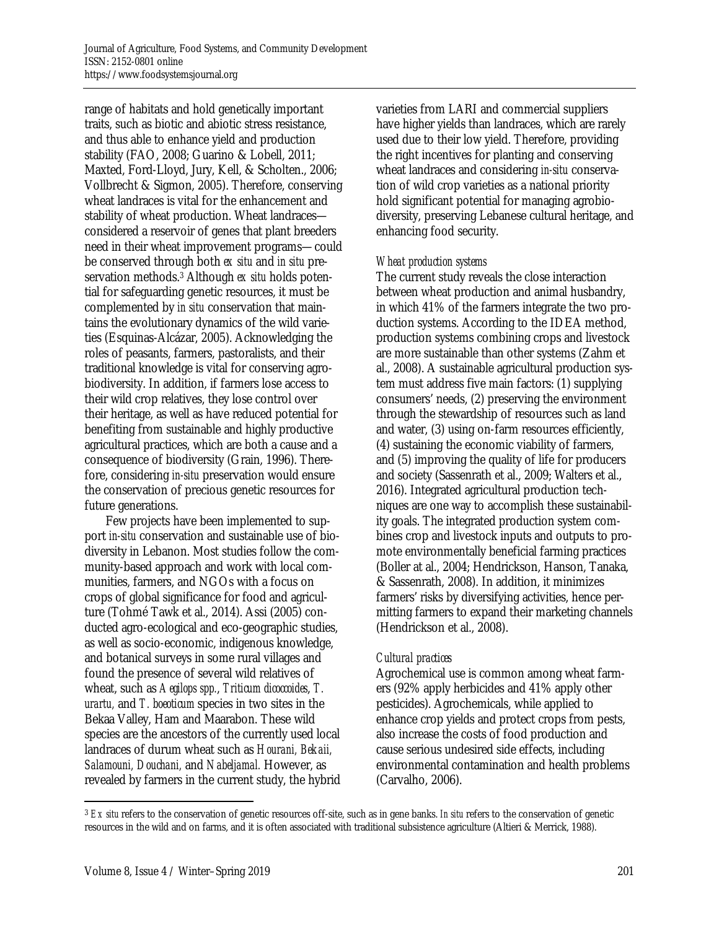range of habitats and hold genetically important traits, such as biotic and abiotic stress resistance, and thus able to enhance yield and production stability (FAO, 2008; Guarino & Lobell, 2011; Maxted, Ford-Lloyd, Jury, Kell, & Scholten., 2006; Vollbrecht & Sigmon, 2005). Therefore, conserving wheat landraces is vital for the enhancement and stability of wheat production. Wheat landraces considered a reservoir of genes that plant breeders need in their wheat improvement programs—could be conserved through both *ex situ* and *in situ* preservation methods.3 Although *ex situ* holds potential for safeguarding genetic resources, it must be complemented by *in situ* conservation that maintains the evolutionary dynamics of the wild varieties (Esquinas-Alcázar, 2005). Acknowledging the roles of peasants, farmers, pastoralists, and their traditional knowledge is vital for conserving agrobiodiversity. In addition, if farmers lose access to their wild crop relatives, they lose control over their heritage, as well as have reduced potential for benefiting from sustainable and highly productive agricultural practices, which are both a cause and a consequence of biodiversity (Grain, 1996). Therefore, considering *in-situ* preservation would ensure the conservation of precious genetic resources for future generations.

 Few projects have been implemented to support *in-situ* conservation and sustainable use of biodiversity in Lebanon. Most studies follow the community-based approach and work with local communities, farmers, and NGOs with a focus on crops of global significance for food and agriculture (Tohmé Tawk et al., 2014). Assi (2005) conducted agro-ecological and eco-geographic studies, as well as socio-economic, indigenous knowledge, and botanical surveys in some rural villages and found the presence of several wild relatives of wheat, such as *Aegilops spp.*, *Triticum dicoccoides*, *T. urartu,* and *T. boeoticum* species in two sites in the Bekaa Valley, Ham and Maarabon. These wild species are the ancestors of the currently used local landraces of durum wheat such as *Hourani, Bekaii, Salamouni, Douchani,* and *Nabeljamal.* However, as revealed by farmers in the current study, the hybrid varieties from LARI and commercial suppliers have higher yields than landraces, which are rarely used due to their low yield. Therefore, providing the right incentives for planting and conserving wheat landraces and considering *in-situ* conservation of wild crop varieties as a national priority hold significant potential for managing agrobiodiversity, preserving Lebanese cultural heritage, and enhancing food security.

#### *Wheat production systems*

The current study reveals the close interaction between wheat production and animal husbandry, in which 41% of the farmers integrate the two production systems. According to the IDEA method, production systems combining crops and livestock are more sustainable than other systems (Zahm et al., 2008). A sustainable agricultural production system must address five main factors: (1) supplying consumers' needs, (2) preserving the environment through the stewardship of resources such as land and water, (3) using on-farm resources efficiently, (4) sustaining the economic viability of farmers, and (5) improving the quality of life for producers and society (Sassenrath et al., 2009; Walters et al., 2016). Integrated agricultural production techniques are one way to accomplish these sustainability goals. The integrated production system combines crop and livestock inputs and outputs to promote environmentally beneficial farming practices (Boller at al., 2004; Hendrickson, Hanson, Tanaka, & Sassenrath, 2008). In addition, it minimizes farmers' risks by diversifying activities, hence permitting farmers to expand their marketing channels (Hendrickson et al., 2008).

#### *Cultural practices*

Agrochemical use is common among wheat farmers (92% apply herbicides and 41% apply other pesticides). Agrochemicals, while applied to enhance crop yields and protect crops from pests, also increase the costs of food production and cause serious undesired side effects, including environmental contamination and health problems (Carvalho, 2006).

 $\overline{a}$ 

<sup>3</sup> *Ex situ* refers to the conservation of genetic resources off-site, such as in gene banks. *In situ* refers to the conservation of genetic resources in the wild and on farms, and it is often associated with traditional subsistence agriculture (Altieri & Merrick, 1988).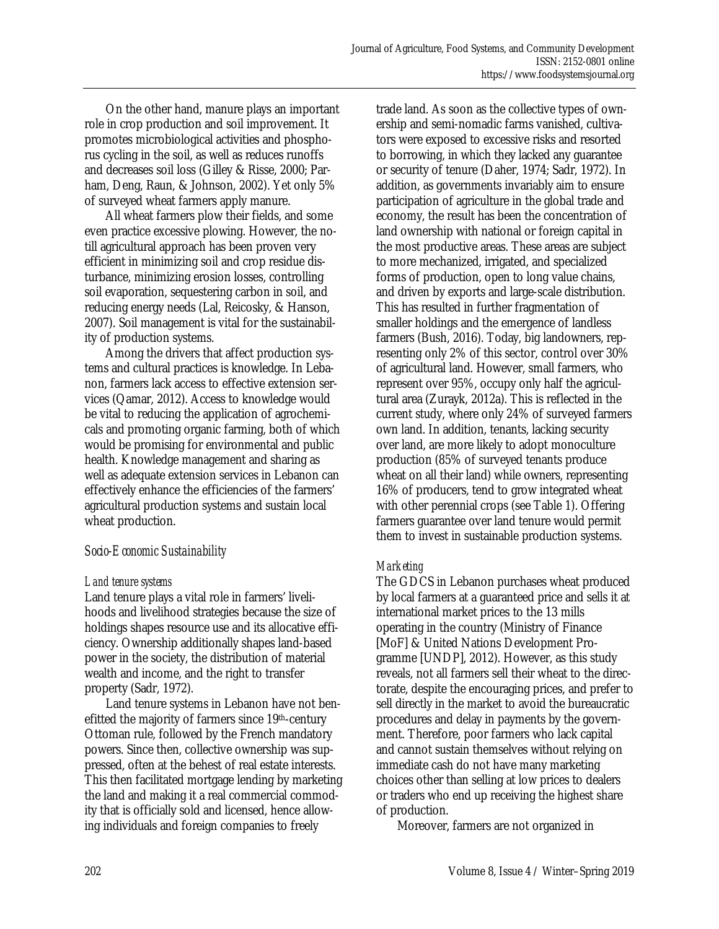On the other hand, manure plays an important role in crop production and soil improvement. It promotes microbiological activities and phosphorus cycling in the soil, as well as reduces runoffs and decreases soil loss (Gilley & Risse, 2000; Parham, Deng, Raun, & Johnson, 2002). Yet only 5% of surveyed wheat farmers apply manure.

 All wheat farmers plow their fields, and some even practice excessive plowing. However, the notill agricultural approach has been proven very efficient in minimizing soil and crop residue disturbance, minimizing erosion losses, controlling soil evaporation, sequestering carbon in soil, and reducing energy needs (Lal, Reicosky, & Hanson, 2007). Soil management is vital for the sustainability of production systems.

 Among the drivers that affect production systems and cultural practices is knowledge. In Lebanon, farmers lack access to effective extension services (Qamar, 2012). Access to knowledge would be vital to reducing the application of agrochemicals and promoting organic farming, both of which would be promising for environmental and public health. Knowledge management and sharing as well as adequate extension services in Lebanon can effectively enhance the efficiencies of the farmers' agricultural production systems and sustain local wheat production.

### *Socio-Economic Sustainability*

### *Land tenure systems*

Land tenure plays a vital role in farmers' livelihoods and livelihood strategies because the size of holdings shapes resource use and its allocative efficiency. Ownership additionally shapes land-based power in the society, the distribution of material wealth and income, and the right to transfer property (Sadr, 1972).

 Land tenure systems in Lebanon have not benefitted the majority of farmers since 19th-century Ottoman rule, followed by the French mandatory powers. Since then, collective ownership was suppressed, often at the behest of real estate interests. This then facilitated mortgage lending by marketing the land and making it a real commercial commodity that is officially sold and licensed, hence allowing individuals and foreign companies to freely

trade land. As soon as the collective types of ownership and semi-nomadic farms vanished, cultivators were exposed to excessive risks and resorted to borrowing, in which they lacked any guarantee or security of tenure (Daher, 1974; Sadr, 1972). In addition, as governments invariably aim to ensure participation of agriculture in the global trade and economy, the result has been the concentration of land ownership with national or foreign capital in the most productive areas. These areas are subject to more mechanized, irrigated, and specialized forms of production, open to long value chains, and driven by exports and large-scale distribution. This has resulted in further fragmentation of smaller holdings and the emergence of landless farmers (Bush, 2016). Today, big landowners, representing only 2% of this sector, control over 30% of agricultural land. However, small farmers, who represent over 95%, occupy only half the agricultural area (Zurayk, 2012a). This is reflected in the current study, where only 24% of surveyed farmers own land. In addition, tenants, lacking security over land, are more likely to adopt monoculture production (85% of surveyed tenants produce wheat on all their land) while owners, representing 16% of producers, tend to grow integrated wheat with other perennial crops (see Table 1). Offering farmers guarantee over land tenure would permit them to invest in sustainable production systems.

### *Marketing*

The GDCS in Lebanon purchases wheat produced by local farmers at a guaranteed price and sells it at international market prices to the 13 mills operating in the country (Ministry of Finance [MoF] & United Nations Development Programme [UNDP], 2012). However, as this study reveals, not all farmers sell their wheat to the directorate, despite the encouraging prices, and prefer to sell directly in the market to avoid the bureaucratic procedures and delay in payments by the government. Therefore, poor farmers who lack capital and cannot sustain themselves without relying on immediate cash do not have many marketing choices other than selling at low prices to dealers or traders who end up receiving the highest share of production.

Moreover, farmers are not organized in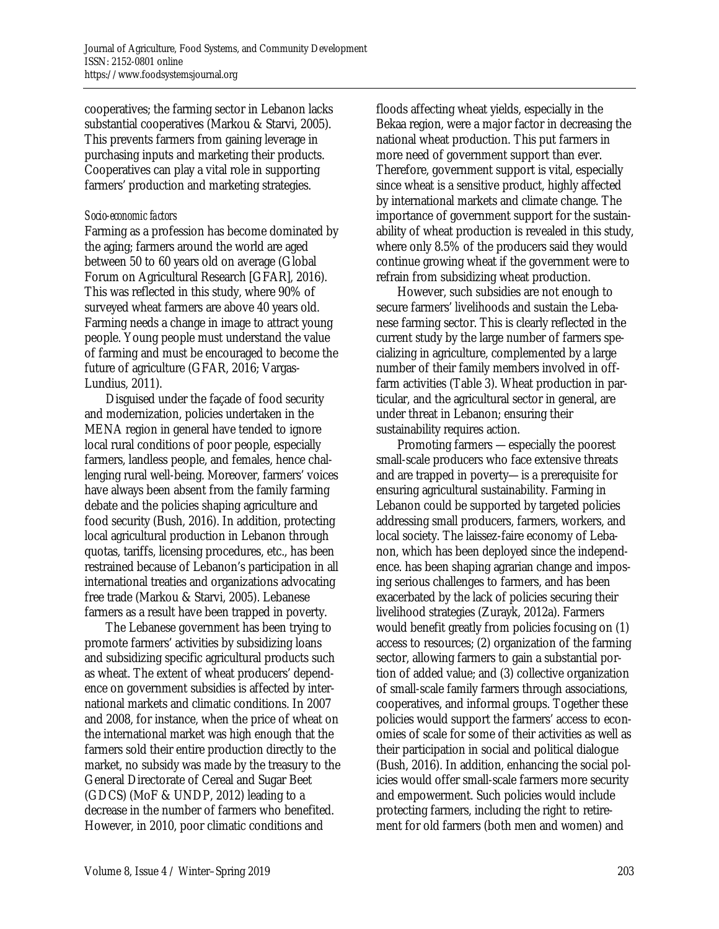cooperatives; the farming sector in Lebanon lacks substantial cooperatives (Markou & Starvi, 2005). This prevents farmers from gaining leverage in purchasing inputs and marketing their products. Cooperatives can play a vital role in supporting farmers' production and marketing strategies.

#### *Socio-economic factors*

Farming as a profession has become dominated by the aging; farmers around the world are aged between 50 to 60 years old on average (Global Forum on Agricultural Research [GFAR], 2016). This was reflected in this study, where 90% of surveyed wheat farmers are above 40 years old. Farming needs a change in image to attract young people. Young people must understand the value of farming and must be encouraged to become the future of agriculture (GFAR, 2016; Vargas-Lundius, 2011).

 Disguised under the façade of food security and modernization, policies undertaken in the MENA region in general have tended to ignore local rural conditions of poor people, especially farmers, landless people, and females, hence challenging rural well-being. Moreover, farmers' voices have always been absent from the family farming debate and the policies shaping agriculture and food security (Bush, 2016). In addition, protecting local agricultural production in Lebanon through quotas, tariffs, licensing procedures, etc., has been restrained because of Lebanon's participation in all international treaties and organizations advocating free trade (Markou & Starvi, 2005). Lebanese farmers as a result have been trapped in poverty.

 The Lebanese government has been trying to promote farmers' activities by subsidizing loans and subsidizing specific agricultural products such as wheat. The extent of wheat producers' dependence on government subsidies is affected by international markets and climatic conditions. In 2007 and 2008, for instance, when the price of wheat on the international market was high enough that the farmers sold their entire production directly to the market, no subsidy was made by the treasury to the General Directorate of Cereal and Sugar Beet (GDCS) (MoF & UNDP, 2012) leading to a decrease in the number of farmers who benefited. However, in 2010, poor climatic conditions and

floods affecting wheat yields, especially in the Bekaa region, were a major factor in decreasing the national wheat production. This put farmers in more need of government support than ever. Therefore, government support is vital, especially since wheat is a sensitive product, highly affected by international markets and climate change. The importance of government support for the sustainability of wheat production is revealed in this study, where only 8.5% of the producers said they would continue growing wheat if the government were to refrain from subsidizing wheat production.

 However, such subsidies are not enough to secure farmers' livelihoods and sustain the Lebanese farming sector. This is clearly reflected in the current study by the large number of farmers specializing in agriculture, complemented by a large number of their family members involved in offfarm activities (Table 3). Wheat production in particular, and the agricultural sector in general, are under threat in Lebanon; ensuring their sustainability requires action.

 Promoting farmers —especially the poorest small-scale producers who face extensive threats and are trapped in poverty—is a prerequisite for ensuring agricultural sustainability. Farming in Lebanon could be supported by targeted policies addressing small producers, farmers, workers, and local society. The laissez-faire economy of Lebanon, which has been deployed since the independence. has been shaping agrarian change and imposing serious challenges to farmers, and has been exacerbated by the lack of policies securing their livelihood strategies (Zurayk, 2012a). Farmers would benefit greatly from policies focusing on (1) access to resources; (2) organization of the farming sector, allowing farmers to gain a substantial portion of added value; and (3) collective organization of small-scale family farmers through associations, cooperatives, and informal groups. Together these policies would support the farmers' access to economies of scale for some of their activities as well as their participation in social and political dialogue (Bush, 2016). In addition, enhancing the social policies would offer small-scale farmers more security and empowerment. Such policies would include protecting farmers, including the right to retirement for old farmers (both men and women) and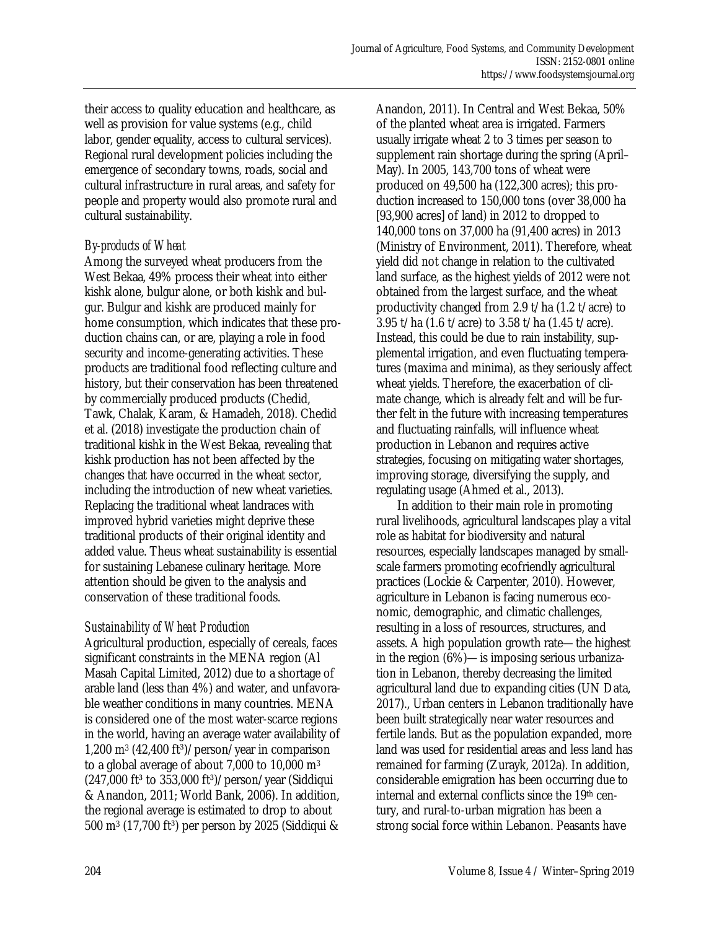their access to quality education and healthcare, as well as provision for value systems (e.g., child labor, gender equality, access to cultural services). Regional rural development policies including the emergence of secondary towns, roads, social and cultural infrastructure in rural areas, and safety for people and property would also promote rural and cultural sustainability.

### *By-products of Wheat*

Among the surveyed wheat producers from the West Bekaa, 49% process their wheat into either kishk alone, bulgur alone, or both kishk and bulgur. Bulgur and kishk are produced mainly for home consumption, which indicates that these production chains can, or are, playing a role in food security and income-generating activities. These products are traditional food reflecting culture and history, but their conservation has been threatened by commercially produced products (Chedid, Tawk, Chalak, Karam, & Hamadeh, 2018). Chedid et al. (2018) investigate the production chain of traditional kishk in the West Bekaa, revealing that kishk production has not been affected by the changes that have occurred in the wheat sector, including the introduction of new wheat varieties. Replacing the traditional wheat landraces with improved hybrid varieties might deprive these traditional products of their original identity and added value. Theus wheat sustainability is essential for sustaining Lebanese culinary heritage. More attention should be given to the analysis and conservation of these traditional foods.

### *Sustainability of Wheat Production*

Agricultural production, especially of cereals, faces significant constraints in the MENA region (Al Masah Capital Limited, 2012) due to a shortage of arable land (less than 4%) and water, and unfavorable weather conditions in many countries. MENA is considered one of the most water-scarce regions in the world, having an average water availability of 1,200 m<sup>3</sup> (42,400 ft<sup>3</sup>)/person/year in comparison to a global average of about 7,000 to 10,000 m3  $(247,000 \text{ ft}^3 \text{ to } 353,000 \text{ ft}^3)/\text{person/year}$  (Siddiqui & Anandon, 2011; World Bank, 2006). In addition, the regional average is estimated to drop to about 500 m<sup>3</sup> (17,700 ft<sup>3</sup>) per person by 2025 (Siddiqui &

Anandon, 2011). In Central and West Bekaa, 50% of the planted wheat area is irrigated. Farmers usually irrigate wheat 2 to 3 times per season to supplement rain shortage during the spring (April– May). In 2005, 143,700 tons of wheat were produced on 49,500 ha (122,300 acres); this production increased to 150,000 tons (over 38,000 ha [93,900 acres] of land) in 2012 to dropped to 140,000 tons on 37,000 ha (91,400 acres) in 2013 (Ministry of Environment, 2011). Therefore, wheat yield did not change in relation to the cultivated land surface, as the highest yields of 2012 were not obtained from the largest surface, and the wheat productivity changed from 2.9 t/ha (1.2 t/acre) to 3.95 t/ha (1.6 t/acre) to 3.58 t/ha (1.45 t/acre). Instead, this could be due to rain instability, supplemental irrigation, and even fluctuating temperatures (maxima and minima), as they seriously affect wheat yields. Therefore, the exacerbation of climate change, which is already felt and will be further felt in the future with increasing temperatures and fluctuating rainfalls, will influence wheat production in Lebanon and requires active strategies, focusing on mitigating water shortages, improving storage, diversifying the supply, and regulating usage (Ahmed et al., 2013).

 In addition to their main role in promoting rural livelihoods, agricultural landscapes play a vital role as habitat for biodiversity and natural resources, especially landscapes managed by smallscale farmers promoting ecofriendly agricultural practices (Lockie & Carpenter, 2010). However, agriculture in Lebanon is facing numerous economic, demographic, and climatic challenges, resulting in a loss of resources, structures, and assets. A high population growth rate—the highest in the region (6%)—is imposing serious urbanization in Lebanon, thereby decreasing the limited agricultural land due to expanding cities (UN Data, 2017)., Urban centers in Lebanon traditionally have been built strategically near water resources and fertile lands. But as the population expanded, more land was used for residential areas and less land has remained for farming (Zurayk, 2012a). In addition, considerable emigration has been occurring due to internal and external conflicts since the 19th century, and rural-to-urban migration has been a strong social force within Lebanon. Peasants have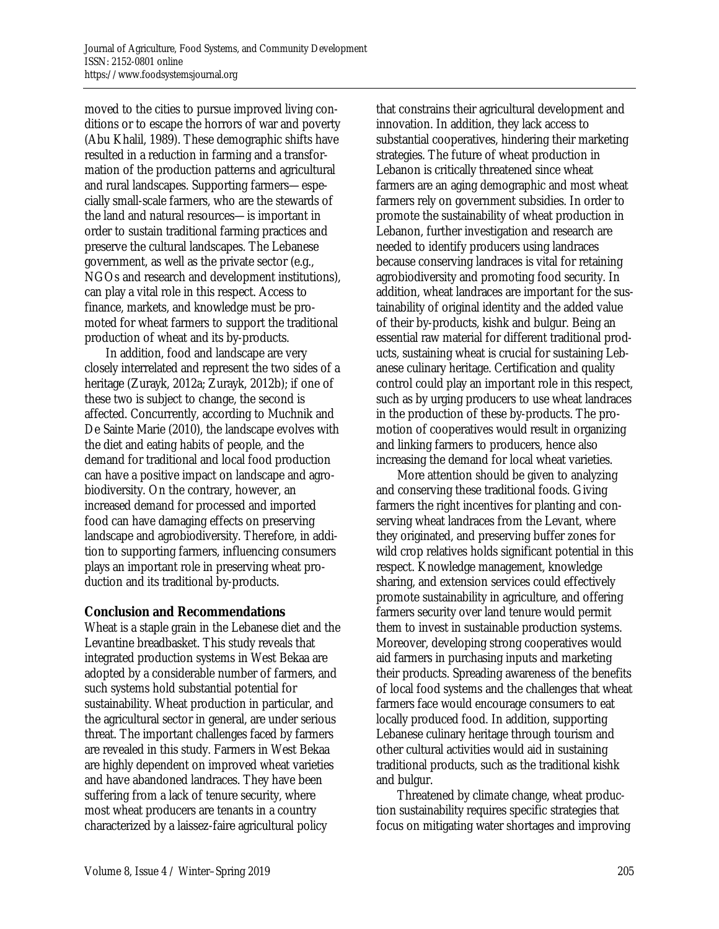moved to the cities to pursue improved living conditions or to escape the horrors of war and poverty (Abu Khalil, 1989). These demographic shifts have resulted in a reduction in farming and a transformation of the production patterns and agricultural and rural landscapes. Supporting farmers—especially small-scale farmers, who are the stewards of the land and natural resources—is important in order to sustain traditional farming practices and preserve the cultural landscapes. The Lebanese government, as well as the private sector (e.g., NGOs and research and development institutions), can play a vital role in this respect. Access to finance, markets, and knowledge must be promoted for wheat farmers to support the traditional production of wheat and its by-products.

 In addition, food and landscape are very closely interrelated and represent the two sides of a heritage (Zurayk, 2012a; Zurayk, 2012b); if one of these two is subject to change, the second is affected. Concurrently, according to Muchnik and De Sainte Marie (2010), the landscape evolves with the diet and eating habits of people, and the demand for traditional and local food production can have a positive impact on landscape and agrobiodiversity. On the contrary, however, an increased demand for processed and imported food can have damaging effects on preserving landscape and agrobiodiversity. Therefore, in addition to supporting farmers, influencing consumers plays an important role in preserving wheat production and its traditional by-products.

### **Conclusion and Recommendations**

Wheat is a staple grain in the Lebanese diet and the Levantine breadbasket. This study reveals that integrated production systems in West Bekaa are adopted by a considerable number of farmers, and such systems hold substantial potential for sustainability. Wheat production in particular, and the agricultural sector in general, are under serious threat. The important challenges faced by farmers are revealed in this study. Farmers in West Bekaa are highly dependent on improved wheat varieties and have abandoned landraces. They have been suffering from a lack of tenure security, where most wheat producers are tenants in a country characterized by a laissez-faire agricultural policy

that constrains their agricultural development and innovation. In addition, they lack access to substantial cooperatives, hindering their marketing strategies. The future of wheat production in Lebanon is critically threatened since wheat farmers are an aging demographic and most wheat farmers rely on government subsidies. In order to promote the sustainability of wheat production in Lebanon, further investigation and research are needed to identify producers using landraces because conserving landraces is vital for retaining agrobiodiversity and promoting food security. In addition, wheat landraces are important for the sustainability of original identity and the added value of their by-products, kishk and bulgur. Being an essential raw material for different traditional products, sustaining wheat is crucial for sustaining Lebanese culinary heritage. Certification and quality control could play an important role in this respect, such as by urging producers to use wheat landraces in the production of these by-products. The promotion of cooperatives would result in organizing and linking farmers to producers, hence also increasing the demand for local wheat varieties.

 More attention should be given to analyzing and conserving these traditional foods. Giving farmers the right incentives for planting and conserving wheat landraces from the Levant, where they originated, and preserving buffer zones for wild crop relatives holds significant potential in this respect. Knowledge management, knowledge sharing, and extension services could effectively promote sustainability in agriculture, and offering farmers security over land tenure would permit them to invest in sustainable production systems. Moreover, developing strong cooperatives would aid farmers in purchasing inputs and marketing their products. Spreading awareness of the benefits of local food systems and the challenges that wheat farmers face would encourage consumers to eat locally produced food. In addition, supporting Lebanese culinary heritage through tourism and other cultural activities would aid in sustaining traditional products, such as the traditional kishk and bulgur.

 Threatened by climate change, wheat production sustainability requires specific strategies that focus on mitigating water shortages and improving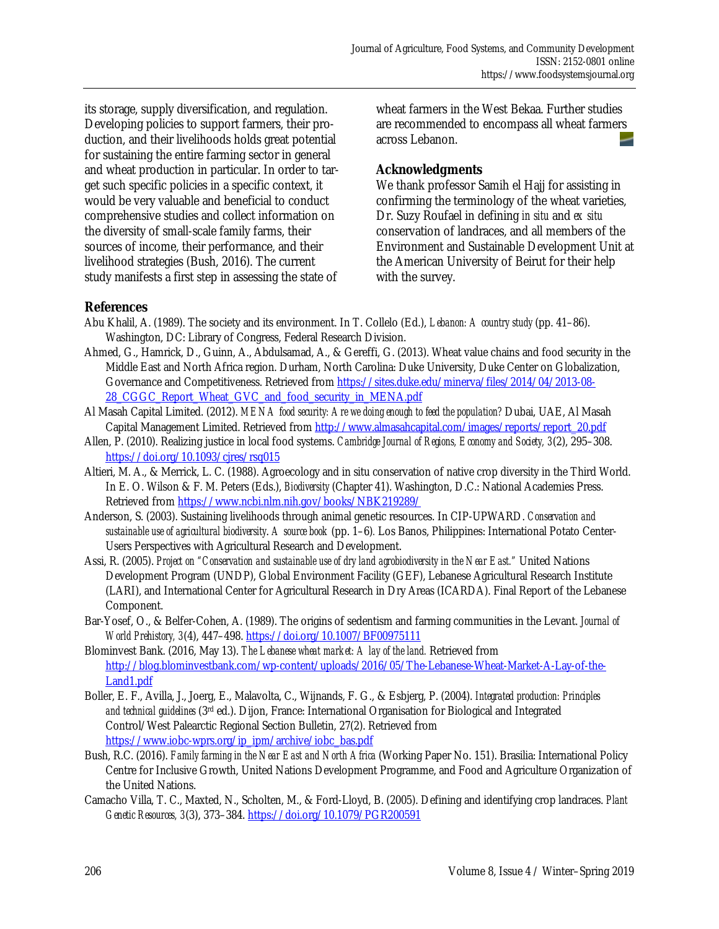its storage, supply diversification, and regulation. Developing policies to support farmers, their production, and their livelihoods holds great potential for sustaining the entire farming sector in general and wheat production in particular. In order to target such specific policies in a specific context, it would be very valuable and beneficial to conduct comprehensive studies and collect information on the diversity of small-scale family farms, their sources of income, their performance, and their livelihood strategies (Bush, 2016). The current study manifests a first step in assessing the state of wheat farmers in the West Bekaa. Further studies are recommended to encompass all wheat farmers across Lebanon.

### **Acknowledgments**

We thank professor Samih el Hajj for assisting in confirming the terminology of the wheat varieties, Dr. Suzy Roufael in defining *in situ* and *ex situ* conservation of landraces, and all members of the Environment and Sustainable Development Unit at the American University of Beirut for their help with the survey.

### **References**

- Abu Khalil, A. (1989). The society and its environment. In T. Collelo (Ed.), *Lebanon: A country study* (pp. 41–86). Washington, DC: Library of Congress, Federal Research Division.
- Ahmed, G., Hamrick, D., Guinn, A., Abdulsamad, A., & Gereffi, G. (2013). Wheat value chains and food security in the Middle East and North Africa region. Durham, North Carolina: Duke University, Duke Center on Globalization, [Governance and Competitiveness. Retrieved from https://sites.duke.edu/minerva/files/2014/04/2013-08-](https://sites.duke.edu/minerva/files/2014/04/2013-08-28_CGGC_Report_Wheat_GVC_and_food_security_in_MENA.pdf) 28\_CGGC\_Report\_Wheat\_GVC\_and\_food\_security\_in\_MENA.pdf
- Al Masah Capital Limited. (2012). *MENA food security: Are we doing enough to feed the population?* Dubai, UAE, Al Masah Capital Management Limited. Retrieved from http://www.almasahcapital.com/images/reports/report\_20.pdf
- Allen, P. (2010). Realizing justice in local food systems. *Cambridge Journal of Regions, Economy and Society, 3*(2), 295–308. https://doi.org/10.1093/cjres/rsq015
- Altieri, M. A., & Merrick, L. C. (1988). Agroecology and in situ conservation of native crop diversity in the Third World. In E. O. Wilson & F. M. Peters (Eds.), *Biodiversity* (Chapter 41). Washington, D.C.: National Academies Press. Retrieved from https://www.ncbi.nlm.nih.gov/books/NBK219289/
- Anderson, S. (2003). Sustaining livelihoods through animal genetic resources. In CIP-UPWARD. *Conservation and sustainable use of agricultural biodiversity*. *A source book* (pp. 1–6)*.* Los Banos, Philippines: International Potato Center-Users Perspectives with Agricultural Research and Development.
- Assi, R. (2005). *Project on "Conservation and sustainable use of dry land agrobiodiversity in the Near East."* United Nations Development Program (UNDP), Global Environment Facility (GEF), Lebanese Agricultural Research Institute (LARI), and International Center for Agricultural Research in Dry Areas (ICARDA). Final Report of the Lebanese Component.
- Bar-Yosef, O., & Belfer-Cohen, A. (1989). The origins of sedentism and farming communities in the Levant. *Journal of World Prehistory, 3*(4), 447–498. https://doi.org/10.1007/BF00975111
- Blominvest Bank. (2016, May 13). *The Lebanese wheat market: A lay of the land.* Retrieved from [http://blog.blominvestbank.com/wp-content/uploads/2016/05/The-Lebanese-Wheat-Market-A-Lay-of-the-](http://blog.blominvestbank.com/wp-content/uploads/2016/05/The-Lebanese-Wheat-Market-A-Lay-of-the-Land1.pdf)Land1.pdf
- Boller, E. F., Avilla, J., Joerg, E., Malavolta, C., Wijnands, F. G., & Esbjerg, P. (2004). *Integrated production: Principles and technical guidelines* (3rd ed.). Dijon, France: International Organisation for Biological and Integrated Control/West Palearctic Regional Section Bulletin, 27(2). Retrieved from https://www.iobc-wprs.org/ip\_ipm/archive/iobc\_bas.pdf
- Bush, R.C. (2016). *Family farming in the Near East and North Africa* (Working Paper No. 151). Brasilia: International Policy Centre for Inclusive Growth, United Nations Development Programme, and Food and Agriculture Organization of the United Nations.
- Camacho Villa, T. C., Maxted, N., Scholten, M., & Ford-Lloyd, B. (2005). Defining and identifying crop landraces. *Plant Genetic Resources, 3*(3), 373–384. https://doi.org/10.1079/PGR200591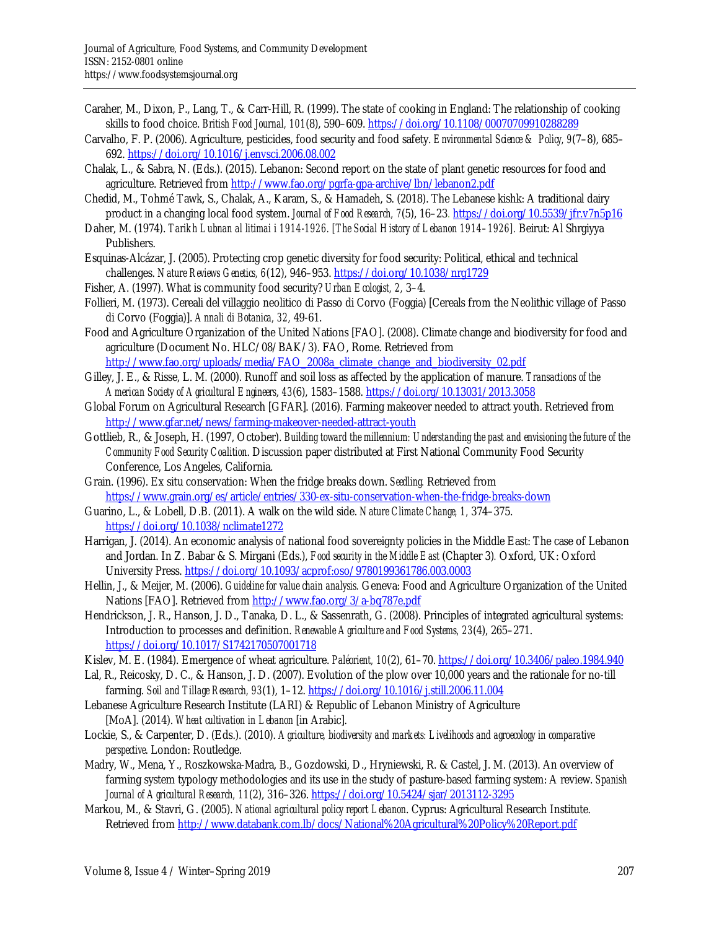- Caraher, M., Dixon, P., Lang, T., & Carr-Hill, R. (1999). The state of cooking in England: The relationship of cooking skills to food choice. *British Food Journal, 101*(8), 590–609. https://doi.org/10.1108/00070709910288289
- Carvalho, F. P. (2006). Agriculture, pesticides, food security and food safety. *Environmental Science & Policy, 9*(7–8), 685– 692. https://doi.org/10.1016/j.envsci.2006.08.002
- Chalak, L., & Sabra, N. (Eds.). (2015). Lebanon: Second report on the state of plant genetic resources for food and agriculture. Retrieved from http://www.fao.org/pgrfa-gpa-archive/lbn/lebanon2.pdf
- Chedid, M., Tohmé Tawk, S., Chalak, A., Karam, S., & Hamadeh, S. (2018). The Lebanese kishk: A traditional dairy product in a changing local food system. *Journal of Food Research*, 7(5), 16–23. https://doi.org/10.5539/jfr.v7n5p16
- Daher, M. (1974). *Tarikh Lubnan al litimai i 1914-1926. [The Social History of Lebanon 1914–1926].* Beirut: Al Shrgiyya Publishers.
- Esquinas-Alcázar, J. (2005). Protecting crop genetic diversity for food security: Political, ethical and technical challenges. *Nature Reviews Genetics, 6*(12), 946–953. https://doi.org/10.1038/nrg1729
- Fisher, A. (1997). What is community food security? *Urban Ecologist, 2,* 3–4.
- Follieri, M. (1973). Cereali del villaggio neolitico di Passo di Corvo (Foggia) [Cereals from the Neolithic village of Passo di Corvo (Foggia)]. *Annali di Botanica, 32,* 49-61.
- Food and Agriculture Organization of the United Nations [FAO]. (2008). Climate change and biodiversity for food and agriculture (Document No. HLC/08/BAK/3). FAO, Rome. Retrieved from
- http://www.fao.org/uploads/media/FAO\_2008a\_climate\_change\_and\_biodiversity\_02.pdf Gilley, J. E., & Risse, L. M. (2000). Runoff and soil loss as affected by the application of manure. *Transactions of the American Society of Agricultural Engineers*, *43*(6), 1583–1588. https://doi.org/10.13031/2013.3058
- Global Forum on Agricultural Research [GFAR]. (2016). Farming makeover needed to attract youth. Retrieved from http://www.gfar.net/news/farming-makeover-needed-attract-youth
- Gottlieb, R., & Joseph, H. (1997, October). *Building toward the millennium: Understanding the past and envisioning the future of the Community Food Security Coalition*. Discussion paper distributed at First National Community Food Security Conference, Los Angeles, California.
- Grain. (1996). Ex situ conservation: When the fridge breaks down. *Seedling.* Retrieved from https://www.grain.org/es/article/entries/330-ex-situ-conservation-when-the-fridge-breaks-down
- Guarino, L., & Lobell, D.B. (2011). A walk on the wild side. *Nature Climate Change, 1,* 374–375. https://doi.org/10.1038/nclimate1272
- Harrigan, J. (2014). An economic analysis of national food sovereignty policies in the Middle East: The case of Lebanon and Jordan. In Z. Babar & S. Mirgani (Eds.), *Food security in the Middle East* (Chapter 3)*.* Oxford, UK: Oxford University Press. https://doi.org/10.1093/acprof:oso/9780199361786.003.0003
- Hellin, J., & Meijer, M. (2006). *Guideline for value chain analysis.* Geneva: Food and Agriculture Organization of the United Nations [FAO]. Retrieved from http://www.fao.org/3/a-bq787e.pdf
- Hendrickson, J. R., Hanson, J. D., Tanaka, D. L., & Sassenrath, G. (2008). Principles of integrated agricultural systems: Introduction to processes and definition. *Renewable Agriculture and Food Systems, 23*(4), 265–271. https://doi.org/10.1017/S1742170507001718
- Kislev, M. E. (1984). Emergence of wheat agriculture. *Paléorient, 10*(2), 61–70. https://doi.org/10.3406/paleo.1984.940
- Lal, R., Reicosky, D. C., & Hanson, J. D. (2007). Evolution of the plow over 10,000 years and the rationale for no-till farming. *Soil and Tillage Research, 93*(1), 1–12. https://doi.org/10.1016/j.still.2006.11.004
- Lebanese Agriculture Research Institute (LARI) & Republic of Lebanon Ministry of Agriculture [MoA]. (2014). *Wheat cultivation in Lebanon* [in Arabic].
- Lockie, S., & Carpenter, D. (Eds.). (2010). *Agriculture, biodiversity and markets: Livelihoods and agroecology in comparative perspective*. London: Routledge.
- Madry, W., Mena, Y., Roszkowska-Madra, B., Gozdowski, D., Hryniewski, R. & Castel, J. M. (2013). An overview of farming system typology methodologies and its use in the study of pasture-based farming system: A review. *Spanish Journal of Agricultural Research, 11*(2), 316–326. https://doi.org/10.5424/sjar/2013112-3295
- Markou, M., & Stavri, G. (2005). *National agricultural policy report Lebanon*. Cyprus: Agricultural Research Institute. Retrieved from http://www.databank.com.lb/docs/National%20Agricultural%20Policy%20Report.pdf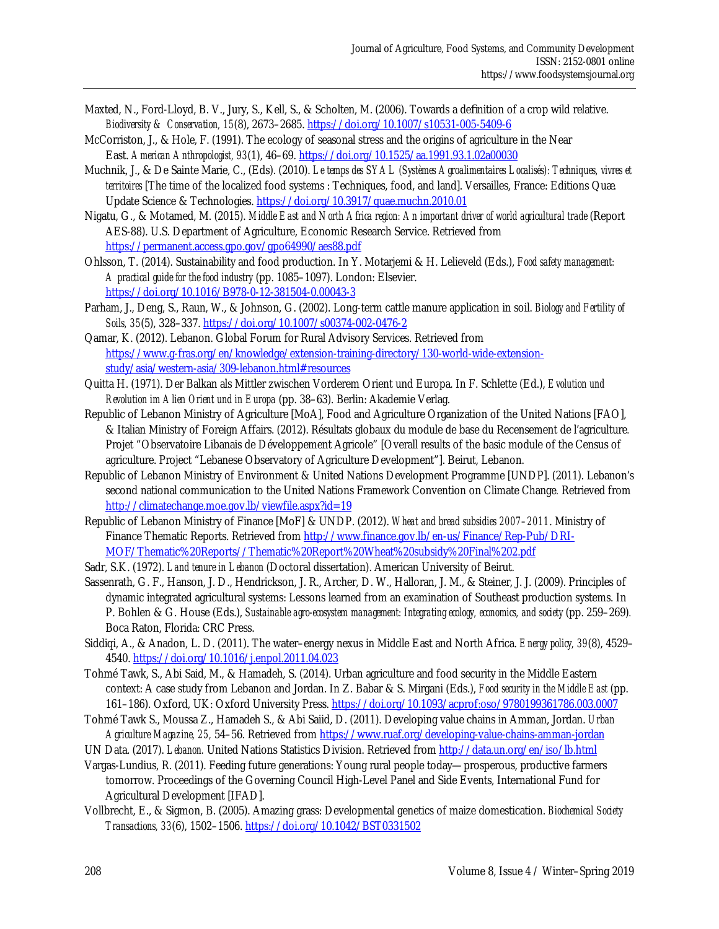- Maxted, N., Ford-Lloyd, B. V., Jury, S., Kell, S., & Scholten, M. (2006). Towards a definition of a crop wild relative. *Biodiversity & Conservation, 15*(8), 2673–2685. https://doi.org/10.1007/s10531-005-5409-6
- McCorriston, J., & Hole, F. (1991). The ecology of seasonal stress and the origins of agriculture in the Near East. *American Anthropologist, 93*(1), 46–69. https://doi.org/10.1525/aa.1991.93.1.02a00030
- Muchnik, J., & De Sainte Marie, C., (Eds). (2010). *Le temps des SYAL (Systèmes Agroalimentaires Localisés): Techniques, vivres et territoires* [The time of the localized food systems : Techniques, food, and land]. Versailles, France: Editions Quæ. Update Science & Technologies. https://doi.org/10.3917/quae.muchn.2010.01
- Nigatu, G., & Motamed, M. (2015). *Middle East and North Africa region: An important driver of world agricultural trade* (Report AES-88). U.S. Department of Agriculture, Economic Research Service. Retrieved from https://permanent.access.gpo.gov/gpo64990/aes88.pdf
- Ohlsson, T. (2014). Sustainability and food production. In Y. Motarjemi & H. Lelieveld (Eds.), *Food safety management: A practical guide for the food industry* (pp. 1085–1097). London: Elsevier. https://doi.org/10.1016/B978-0-12-381504-0.00043-3
- Parham, J., Deng, S., Raun, W., & Johnson, G. (2002). Long-term cattle manure application in soil. *Biology and Fertility of Soils, 35*(5), 328–337. https://doi.org/10.1007/s00374-002-0476-2
- Qamar, K. (2012). Lebanon. Global Forum for Rural Advisory Services. Retrieved from [https://www.g-fras.org/en/knowledge/extension-training-directory/130-world-wide-extension](https://www.g-fras.org/en/knowledge/extension-training-directory/130-world-wide-extension-study/asia/western-asia/309-lebanon.html#resources)study/asia/western-asia/309-lebanon.html#resources
- Quitta H. (1971). Der Balkan als Mittler zwischen Vorderem Orient und Europa. In F. Schlette (Ed.), *Evolution und Revolution im Alien Orient und in Europa* (pp. 38–63). Berlin: Akademie Verlag.
- Republic of Lebanon Ministry of Agriculture [MoA], Food and Agriculture Organization of the United Nations [FAO], & Italian Ministry of Foreign Affairs. (2012). Résultats globaux du module de base du Recensement de l'agriculture*.*  Projet "Observatoire Libanais de Développement Agricole" [Overall results of the basic module of the Census of agriculture. Project "Lebanese Observatory of Agriculture Development"]. Beirut, Lebanon.
- Republic of Lebanon Ministry of Environment & United Nations Development Programme [UNDP]. (2011). Lebanon's second national communication to the United Nations Framework Convention on Climate Change*.* Retrieved from http://climatechange.moe.gov.lb/viewfile.aspx?id=19
- Republic of Lebanon Ministry of Finance [MoF] & UNDP. (2012). *Wheat and bread subsidies 2007–2011*. Ministry of [Finance Thematic Reports. Retrieved from http://www.finance.gov.lb/en-us/Finance/Rep-Pub/DRI-](http://www.finance.gov.lb/en-us/Finance/Rep-Pub/DRI-MOF/Thematic%20Reports//Thematic%20Report%20Wheat%20subsidy%20Final%202.pdf)MOF/Thematic%20Reports//Thematic%20Report%20Wheat%20subsidy%20Final%202.pdf
- Sadr, S.K. (1972). *Land tenure in Lebanon* (Doctoral dissertation). American University of Beirut.
- Sassenrath, G. F., Hanson, J. D., Hendrickson, J. R., Archer, D. W., Halloran, J. M., & Steiner, J. J. (2009). Principles of dynamic integrated agricultural systems: Lessons learned from an examination of Southeast production systems. In P. Bohlen & G. House (Eds.), *Sustainable agro-ecosystem management: Integrating ecology, economics, and society* (pp. 259–269)*.*  Boca Raton, Florida: CRC Press.
- Siddiqi, A., & Anadon, L. D. (2011). The water–energy nexus in Middle East and North Africa. *Energy policy, 39*(8), 4529– 4540. https://doi.org/10.1016/j.enpol.2011.04.023
- Tohmé Tawk, S., Abi Said, M., & Hamadeh, S. (2014). Urban agriculture and food security in the Middle Eastern context: A case study from Lebanon and Jordan. In Z. Babar & S. Mirgani (Eds.), *Food security in the Middle East* (pp. 161–186). Oxford, UK: Oxford University Press. https://doi.org/10.1093/acprof:oso/9780199361786.003.0007
- Tohmé Tawk S., Moussa Z., Hamadeh S., & Abi Saiid, D. (2011). Developing value chains in Amman, Jordan. *Urban Agriculture Magazine, 25,* 54–56. Retrieved from https://www.ruaf.org/developing-value-chains-amman-jordan
- UN Data. (2017). *Lebanon.* United Nations Statistics Division. Retrieved from http://data.un.org/en/iso/lb.html
- Vargas-Lundius, R. (2011). Feeding future generations: Young rural people today—prosperous, productive farmers tomorrow. Proceedings of the Governing Council High-Level Panel and Side Events, International Fund for Agricultural Development [IFAD].
- Vollbrecht, E., & Sigmon, B. (2005). Amazing grass: Developmental genetics of maize domestication. *Biochemical Society Transactions, 33*(6), 1502–1506. https://doi.org/10.1042/BST0331502